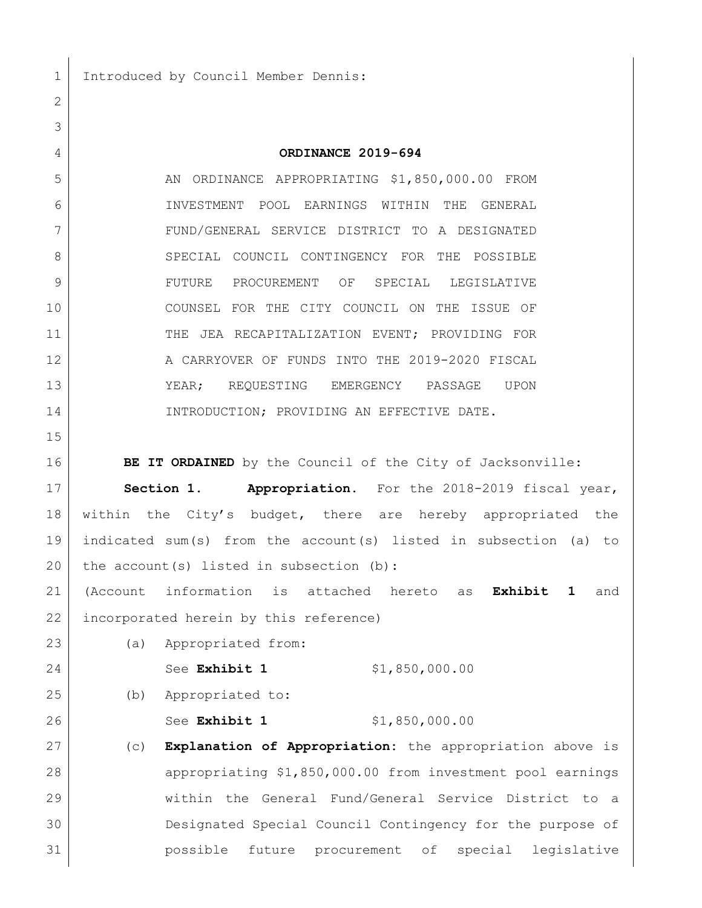1 Introduced by Council Member Dennis:

## **ORDINANCE 2019-694**

5 AN ORDINANCE APPROPRIATING \$1,850,000.00 FROM INVESTMENT POOL EARNINGS WITHIN THE GENERAL FUND/GENERAL SERVICE DISTRICT TO A DESIGNATED 8 SPECIAL COUNCIL CONTINGENCY FOR THE POSSIBLE FUTURE PROCUREMENT OF SPECIAL LEGISLATIVE COUNSEL FOR THE CITY COUNCIL ON THE ISSUE OF THE JEA RECAPITALIZATION EVENT; PROVIDING FOR 12 A CARRYOVER OF FUNDS INTO THE 2019-2020 FISCAL YEAR; REQUESTING EMERGENCY PASSAGE UPON 14 INTRODUCTION; PROVIDING AN EFFECTIVE DATE.

**BE IT ORDAINED** by the Council of the City of Jacksonville:

 **Section 1. Appropriation.** For the 2018-2019 fiscal year, within the City's budget, there are hereby appropriated the indicated sum(s) from the account(s) listed in subsection (a) to 20 the account(s) listed in subsection  $(b)$ :

 (Account information is attached hereto as **Exhibit 1** and 22 incorporated herein by this reference)

(a) Appropriated from:

24 See **Exhibit 1** \$1,850,000.00

- (b) Appropriated to:
- 

26 See **Exhibit 1** \$1,850,000.00

 (c) **Explanation of Appropriation:** the appropriation above is appropriating \$1,850,000.00 from investment pool earnings within the General Fund/General Service District to a Designated Special Council Contingency for the purpose of possible future procurement of special legislative